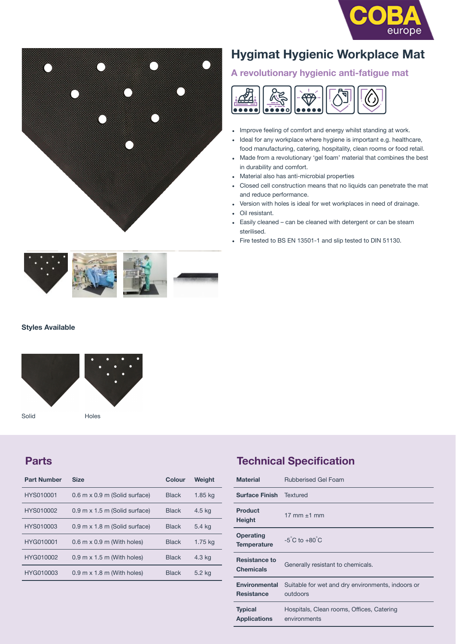



# **Hygimat Hygienic Workplace Mat**

# **A revolutionary hygienic anti-fatigue mat**



- Improve feeling of comfort and energy whilst standing at work.
- Ideal for any workplace where hygiene is important e.g. healthcare, food manufacturing, catering, hospitality, clean rooms or food retail.
- Made from a revolutionary 'gel foam' material that combines the best in durability and comfort.
- Material also has anti-microbial properties
- Closed cell construction means that no liquids can penetrate the mat and reduce performance.
- Version with holes is ideal for wet workplaces in need of drainage.
- Oil resistant.
- Easily cleaned can be cleaned with detergent or can be steam sterilised.
- Fire tested to BS EN 13501-1 and slip tested to DIN 51130.



#### **Styles Available**



Solid Holes

### **Parts**

| <b>Part Number</b> | <b>Size</b>                                       | Colour       | Weight  |
|--------------------|---------------------------------------------------|--------------|---------|
| HYS010001          | 0.6 m x 0.9 m (Solid surface)                     | <b>Black</b> | 1.85 kg |
| HYS010002          | $0.9$ m x $1.5$ m (Solid surface)                 | <b>Black</b> | 4.5 kg  |
| HYS010003          | 0.9 m x 1.8 m (Solid surface)                     | <b>Black</b> | 5.4 ka  |
| HYG010001          | $0.6$ m $\times$ 0.9 m (With holes)               | <b>Black</b> | 1.75 kg |
| HYG010002          | $0.9 \text{ m} \times 1.5 \text{ m}$ (With holes) | <b>Black</b> | 4.3 kg  |
| HYG010003          | $0.9 \text{ m} \times 1.8 \text{ m}$ (With holes) | <b>Black</b> | 5.2 kg  |

## **Technical Specification**

| <b>Material</b>                          | <b>Rubberised Gel Foam</b>                                    |  |
|------------------------------------------|---------------------------------------------------------------|--|
| <b>Surface Finish</b>                    | Textured                                                      |  |
| Product<br>Height                        | $17 \, \text{mm} + 1 \, \text{mm}$                            |  |
| Operating<br><b>Temperature</b>          | $-5^{\circ}$ C to $+80^{\circ}$ C                             |  |
| <b>Resistance to</b><br><b>Chemicals</b> | Generally resistant to chemicals.                             |  |
| Environmental<br><b>Resistance</b>       | Suitable for wet and dry environments, indoors or<br>outdoors |  |
| <b>Typical</b><br><b>Applications</b>    | Hospitals, Clean rooms, Offices, Catering<br>environments     |  |